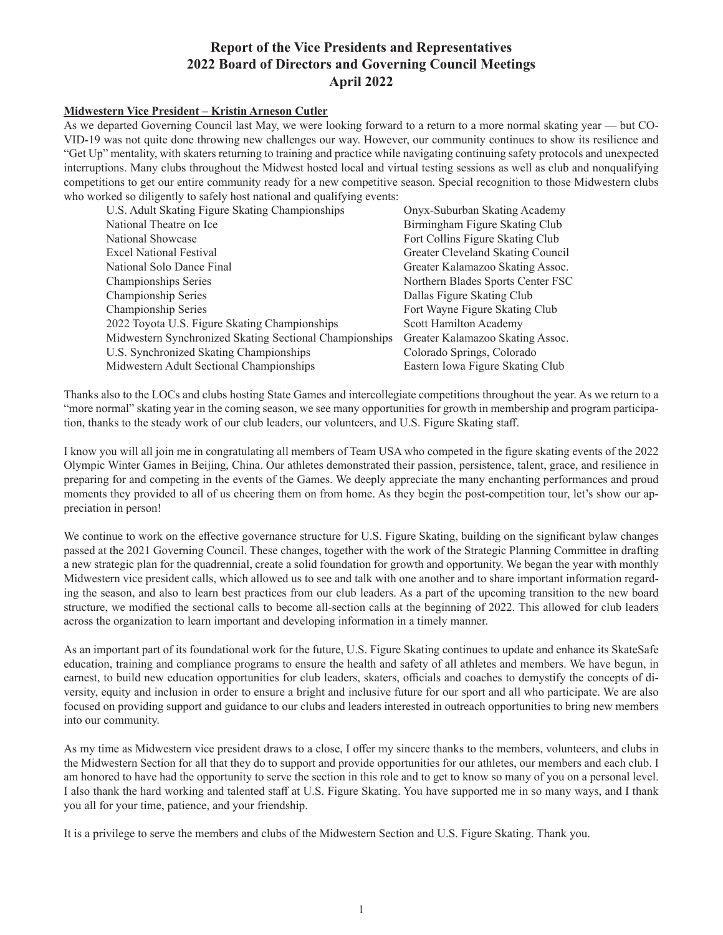#### **Midwestern Vice President – Kristin Arneson Cutler**

As we departed Governing Council last May, we were looking forward to a return to a more normal skating year — but CO-VID-19 was not quite done throwing new challenges our way. However, our community continues to show its resilience and "Get Up" mentality, with skaters returning to training and practice while navigating continuing safety protocols and unexpected interruptions. Many clubs throughout the Midwest hosted local and virtual testing sessions as well as club and nonqualifying competitions to get our entire community ready for a new competitive season. Special recognition to those Midwestern clubs who worked so diligently to safely host national and qualifying events:

| U.S. Adult Skating Figure Skating Championships         | Onyx-Suburban Skating Academy     |
|---------------------------------------------------------|-----------------------------------|
| National Theatre on Ice                                 | Birmingham Figure Skating Club    |
| National Showcase                                       | Fort Collins Figure Skating Club  |
| <b>Excel National Festival</b>                          | Greater Cleveland Skating Council |
| National Solo Dance Final                               | Greater Kalamazoo Skating Assoc.  |
| <b>Championships Series</b>                             | Northern Blades Sports Center FSC |
| Championship Series                                     | Dallas Figure Skating Club        |
| Championship Series                                     | Fort Wayne Figure Skating Club    |
| 2022 Toyota U.S. Figure Skating Championships           | Scott Hamilton Academy            |
| Midwestern Synchronized Skating Sectional Championships | Greater Kalamazoo Skating Assoc.  |
| U.S. Synchronized Skating Championships                 | Colorado Springs, Colorado        |
| Midwestern Adult Sectional Championships                | Eastern Iowa Figure Skating Club  |
|                                                         |                                   |

Thanks also to the LOCs and clubs hosting State Games and intercollegiate competitions throughout the year. As we return to a "more normal" skating year in the coming season, we see many opportunities for growth in membership and program participation, thanks to the steady work of our club leaders, our volunteers, and U.S. Figure Skating staff.

I know you will all join me in congratulating all members of Team USA who competed in the figure skating events of the 2022 Olympic Winter Games in Beijing, China. Our athletes demonstrated their passion, persistence, talent, grace, and resilience in preparing for and competing in the events of the Games. We deeply appreciate the many enchanting performances and proud moments they provided to all of us cheering them on from home. As they begin the post-competition tour, let's show our appreciation in person!

We continue to work on the effective governance structure for U.S. Figure Skating, building on the significant bylaw changes passed at the 2021 Governing Council. These changes, together with the work of the Strategic Planning Committee in drafting a new strategic plan for the quadrennial, create a solid foundation for growth and opportunity. We began the year with monthly Midwestern vice president calls, which allowed us to see and talk with one another and to share important information regarding the season, and also to learn best practices from our club leaders. As a part of the upcoming transition to the new board structure, we modified the sectional calls to become all-section calls at the beginning of 2022. This allowed for club leaders across the organization to learn important and developing information in a timely manner.

As an important part of its foundational work for the future, U.S. Figure Skating continues to update and enhance its SkateSafe education, training and compliance programs to ensure the health and safety of all athletes and members. We have begun, in earnest, to build new education opportunities for club leaders, skaters, officials and coaches to demystify the concepts of diversity, equity and inclusion in order to ensure a bright and inclusive future for our sport and all who participate. We are also focused on providing support and guidance to our clubs and leaders interested in outreach opportunities to bring new members into our community.

As my time as Midwestern vice president draws to a close, I offer my sincere thanks to the members, volunteers, and clubs in the Midwestern Section for all that they do to support and provide opportunities for our athletes, our members and each club. I am honored to have had the opportunity to serve the section in this role and to get to know so many of you on a personal level. I also thank the hard working and talented staff at U.S. Figure Skating. You have supported me in so many ways, and I thank you all for your time, patience, and your friendship.

It is a privilege to serve the members and clubs of the Midwestern Section and U.S. Figure Skating. Thank you.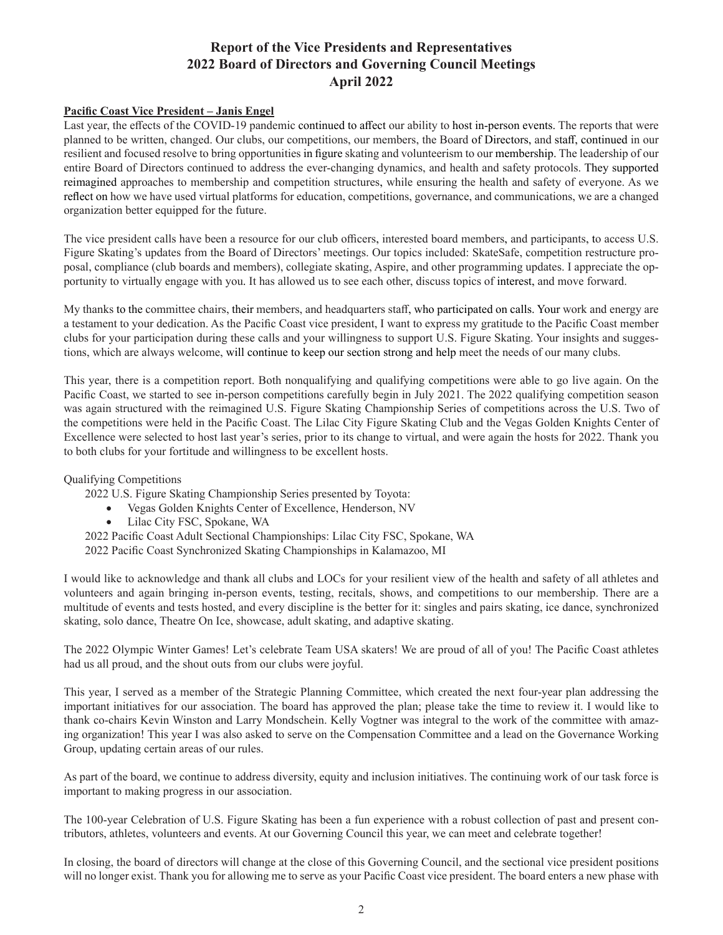#### **Pacific Coast Vice President – Janis Engel**

Last year, the effects of the COVID-19 pandemic continued to affect our ability to host in-person events. The reports that were planned to be written, changed. Our clubs, our competitions, our members, the Board of Directors, and staff, continued in our resilient and focused resolve to bring opportunities in figure skating and volunteerism to our membership. The leadership of our entire Board of Directors continued to address the ever-changing dynamics, and health and safety protocols. They supported reimagined approaches to membership and competition structures, while ensuring the health and safety of everyone. As we reflect on how we have used virtual platforms for education, competitions, governance, and communications, we are a changed organization better equipped for the future.

The vice president calls have been a resource for our club officers, interested board members, and participants, to access U.S. Figure Skating's updates from the Board of Directors' meetings. Our topics included: SkateSafe, competition restructure proposal, compliance (club boards and members), collegiate skating, Aspire, and other programming updates. I appreciate the opportunity to virtually engage with you. It has allowed us to see each other, discuss topics of interest, and move forward.

My thanks to the committee chairs, their members, and headquarters staff, who participated on calls. Your work and energy are a testament to your dedication. As the Pacific Coast vice president, I want to express my gratitude to the Pacific Coast member clubs for your participation during these calls and your willingness to support U.S. Figure Skating. Your insights and suggestions, which are always welcome, will continue to keep our section strong and help meet the needs of our many clubs.

This year, there is a competition report. Both nonqualifying and qualifying competitions were able to go live again. On the Pacific Coast, we started to see in-person competitions carefully begin in July 2021. The 2022 qualifying competition season was again structured with the reimagined U.S. Figure Skating Championship Series of competitions across the U.S. Two of the competitions were held in the Pacific Coast. The Lilac City Figure Skating Club and the Vegas Golden Knights Center of Excellence were selected to host last year's series, prior to its change to virtual, and were again the hosts for 2022. Thank you to both clubs for your fortitude and willingness to be excellent hosts.

#### Qualifying Competitions

2022 U.S. Figure Skating Championship Series presented by Toyota:

- Vegas Golden Knights Center of Excellence, Henderson, NV
- Lilac City FSC, Spokane, WA

2022 Pacific Coast Adult Sectional Championships: Lilac City FSC, Spokane, WA

2022 Pacific Coast Synchronized Skating Championships in Kalamazoo, MI

I would like to acknowledge and thank all clubs and LOCs for your resilient view of the health and safety of all athletes and volunteers and again bringing in-person events, testing, recitals, shows, and competitions to our membership. There are a multitude of events and tests hosted, and every discipline is the better for it: singles and pairs skating, ice dance, synchronized skating, solo dance, Theatre On Ice, showcase, adult skating, and adaptive skating.

The 2022 Olympic Winter Games! Let's celebrate Team USA skaters! We are proud of all of you! The Pacific Coast athletes had us all proud, and the shout outs from our clubs were joyful.

This year, I served as a member of the Strategic Planning Committee, which created the next four-year plan addressing the important initiatives for our association. The board has approved the plan; please take the time to review it. I would like to thank co-chairs Kevin Winston and Larry Mondschein. Kelly Vogtner was integral to the work of the committee with amazing organization! This year I was also asked to serve on the Compensation Committee and a lead on the Governance Working Group, updating certain areas of our rules.

As part of the board, we continue to address diversity, equity and inclusion initiatives. The continuing work of our task force is important to making progress in our association.

The 100-year Celebration of U.S. Figure Skating has been a fun experience with a robust collection of past and present contributors, athletes, volunteers and events. At our Governing Council this year, we can meet and celebrate together!

In closing, the board of directors will change at the close of this Governing Council, and the sectional vice president positions will no longer exist. Thank you for allowing me to serve as your Pacific Coast vice president. The board enters a new phase with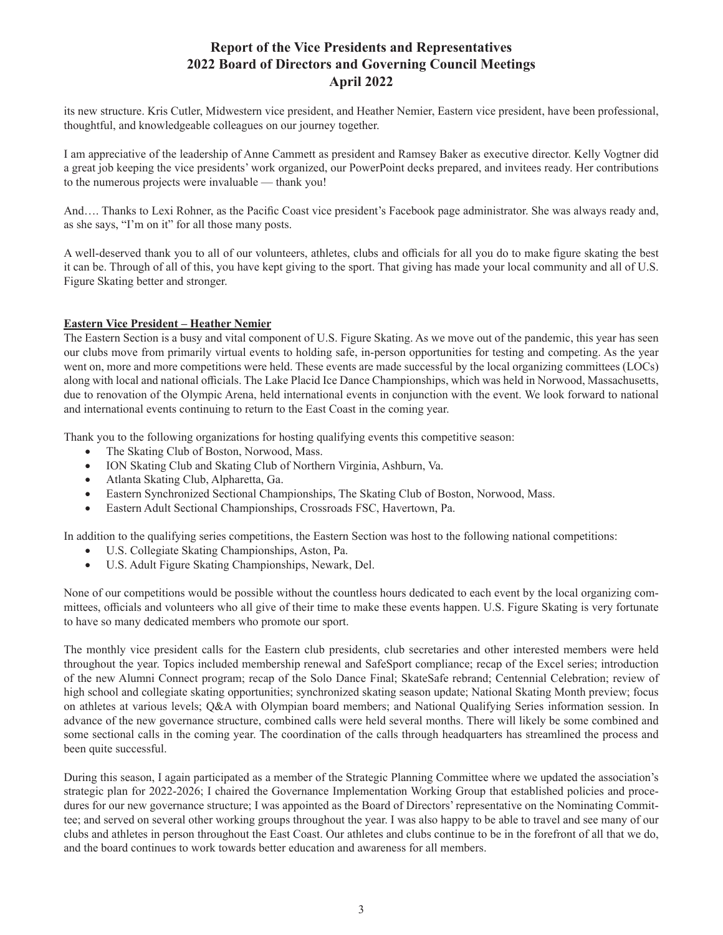its new structure. Kris Cutler, Midwestern vice president, and Heather Nemier, Eastern vice president, have been professional, thoughtful, and knowledgeable colleagues on our journey together.

I am appreciative of the leadership of Anne Cammett as president and Ramsey Baker as executive director. Kelly Vogtner did a great job keeping the vice presidents' work organized, our PowerPoint decks prepared, and invitees ready. Her contributions to the numerous projects were invaluable — thank you!

And…. Thanks to Lexi Rohner, as the Pacific Coast vice president's Facebook page administrator. She was always ready and, as she says, "I'm on it" for all those many posts.

A well-deserved thank you to all of our volunteers, athletes, clubs and officials for all you do to make figure skating the best it can be. Through of all of this, you have kept giving to the sport. That giving has made your local community and all of U.S. Figure Skating better and stronger.

#### **Eastern Vice President – Heather Nemier**

The Eastern Section is a busy and vital component of U.S. Figure Skating. As we move out of the pandemic, this year has seen our clubs move from primarily virtual events to holding safe, in-person opportunities for testing and competing. As the year went on, more and more competitions were held. These events are made successful by the local organizing committees (LOCs) along with local and national officials. The Lake Placid Ice Dance Championships, which was held in Norwood, Massachusetts, due to renovation of the Olympic Arena, held international events in conjunction with the event. We look forward to national and international events continuing to return to the East Coast in the coming year.

Thank you to the following organizations for hosting qualifying events this competitive season:

- The Skating Club of Boston, Norwood, Mass.
- ION Skating Club and Skating Club of Northern Virginia, Ashburn, Va.
- Atlanta Skating Club, Alpharetta, Ga.
- Eastern Synchronized Sectional Championships, The Skating Club of Boston, Norwood, Mass.
- Eastern Adult Sectional Championships, Crossroads FSC, Havertown, Pa.

In addition to the qualifying series competitions, the Eastern Section was host to the following national competitions:

- • U.S. Collegiate Skating Championships, Aston, Pa.
- • U.S. Adult Figure Skating Championships, Newark, Del.

None of our competitions would be possible without the countless hours dedicated to each event by the local organizing committees, officials and volunteers who all give of their time to make these events happen. U.S. Figure Skating is very fortunate to have so many dedicated members who promote our sport.

The monthly vice president calls for the Eastern club presidents, club secretaries and other interested members were held throughout the year. Topics included membership renewal and SafeSport compliance; recap of the Excel series; introduction of the new Alumni Connect program; recap of the Solo Dance Final; SkateSafe rebrand; Centennial Celebration; review of high school and collegiate skating opportunities; synchronized skating season update; National Skating Month preview; focus on athletes at various levels; Q&A with Olympian board members; and National Qualifying Series information session. In advance of the new governance structure, combined calls were held several months. There will likely be some combined and some sectional calls in the coming year. The coordination of the calls through headquarters has streamlined the process and been quite successful.

During this season, I again participated as a member of the Strategic Planning Committee where we updated the association's strategic plan for 2022-2026; I chaired the Governance Implementation Working Group that established policies and procedures for our new governance structure; I was appointed as the Board of Directors' representative on the Nominating Committee; and served on several other working groups throughout the year. I was also happy to be able to travel and see many of our clubs and athletes in person throughout the East Coast. Our athletes and clubs continue to be in the forefront of all that we do, and the board continues to work towards better education and awareness for all members.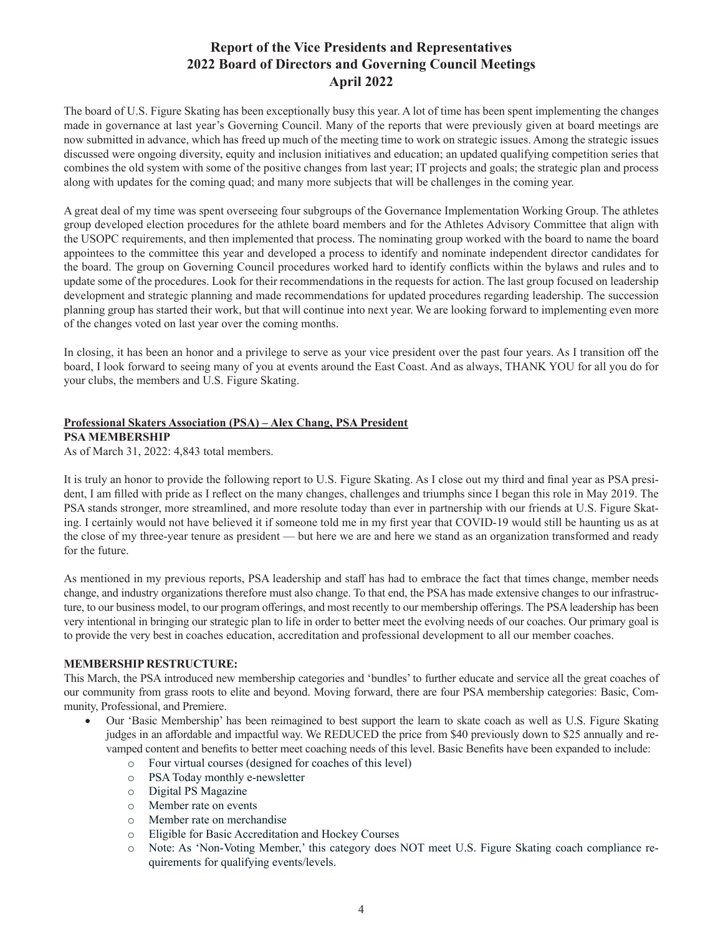The board of U.S. Figure Skating has been exceptionally busy this year. A lot of time has been spent implementing the changes made in governance at last year's Governing Council. Many of the reports that were previously given at board meetings are now submitted in advance, which has freed up much of the meeting time to work on strategic issues. Among the strategic issues discussed were ongoing diversity, equity and inclusion initiatives and education; an updated qualifying competition series that combines the old system with some of the positive changes from last year; IT projects and goals; the strategic plan and process along with updates for the coming quad; and many more subjects that will be challenges in the coming year.

A great deal of my time was spent overseeing four subgroups of the Governance Implementation Working Group. The athletes group developed election procedures for the athlete board members and for the Athletes Advisory Committee that align with the USOPC requirements, and then implemented that process. The nominating group worked with the board to name the board appointees to the committee this year and developed a process to identify and nominate independent director candidates for the board. The group on Governing Council procedures worked hard to identify conflicts within the bylaws and rules and to update some of the procedures. Look for their recommendations in the requests for action. The last group focused on leadership development and strategic planning and made recommendations for updated procedures regarding leadership. The succession planning group has started their work, but that will continue into next year. We are looking forward to implementing even more of the changes voted on last year over the coming months.

In closing, it has been an honor and a privilege to serve as your vice president over the past four years. As I transition off the board, I look forward to seeing many of you at events around the East Coast. And as always, THANK YOU for all you do for your clubs, the members and U.S. Figure Skating.

### **Professional Skaters Association (PSA) – Alex Chang, PSA President**

**PSA MEMBERSHIP**

As of March 31, 2022: 4,843 total members.

It is truly an honor to provide the following report to U.S. Figure Skating. As I close out my third and final year as PSA president, I am filled with pride as I reflect on the many changes, challenges and triumphs since I began this role in May 2019. The PSA stands stronger, more streamlined, and more resolute today than ever in partnership with our friends at U.S. Figure Skating. I certainly would not have believed it if someone told me in my first year that COVID-19 would still be haunting us as at the close of my three-year tenure as president — but here we are and here we stand as an organization transformed and ready for the future.

As mentioned in my previous reports, PSA leadership and staff has had to embrace the fact that times change, member needs change, and industry organizations therefore must also change. To that end, the PSA has made extensive changes to our infrastructure, to our business model, to our program offerings, and most recently to our membership offerings. The PSA leadership has been very intentional in bringing our strategic plan to life in order to better meet the evolving needs of our coaches. Our primary goal is to provide the very best in coaches education, accreditation and professional development to all our member coaches.

#### **MEMBERSHIP RESTRUCTURE:**

This March, the PSA introduced new membership categories and 'bundles' to further educate and service all the great coaches of our community from grass roots to elite and beyond. Moving forward, there are four PSA membership categories: Basic, Community, Professional, and Premiere.

- Our 'Basic Membership' has been reimagined to best support the learn to skate coach as well as U.S. Figure Skating judges in an affordable and impactful way. We REDUCED the price from \$40 previously down to \$25 annually and revamped content and benefits to better meet coaching needs of this level. Basic Benefits have been expanded to include:
	- o Four virtual courses (designed for coaches of this level)
	- o PSA Today monthly e-newsletter
	- o Digital PS Magazine
	- o Member rate on events
	- o Member rate on merchandise
	- o Eligible for Basic Accreditation and Hockey Courses
	- o Note: As 'Non-Voting Member,' this category does NOT meet U.S. Figure Skating coach compliance requirements for qualifying events/levels.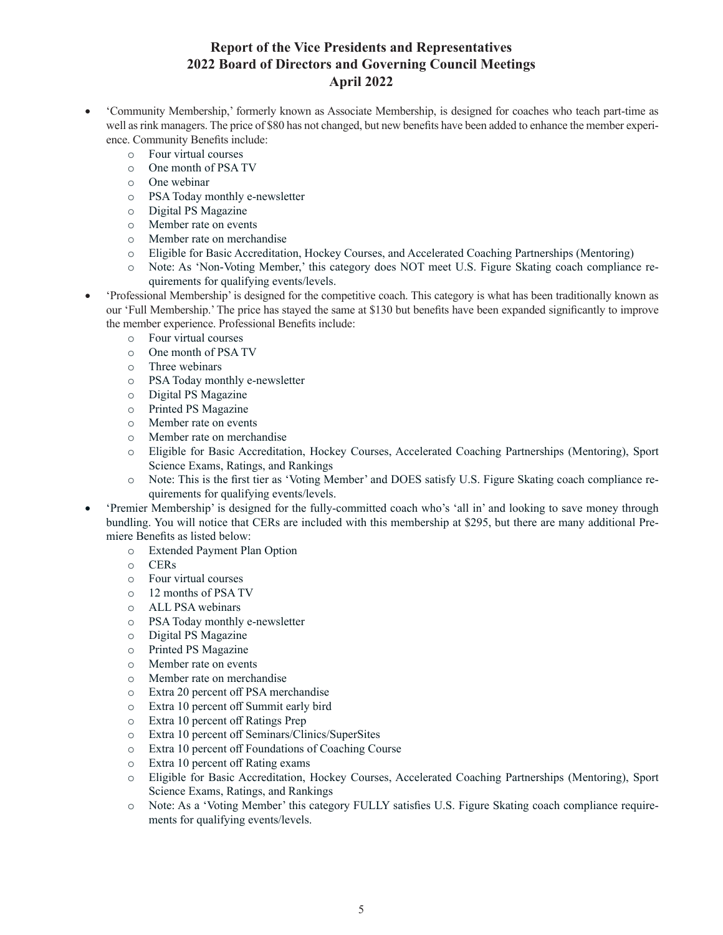- • 'Community Membership,' formerly known as Associate Membership, is designed for coaches who teach part-time as well as rink managers. The price of \$80 has not changed, but new benefits have been added to enhance the member experience. Community Benefits include:
	- o Four virtual courses
	- o One month of PSA TV
	- o One webinar
	- o PSA Today monthly e-newsletter
	- o Digital PS Magazine
	- o Member rate on events
	- o Member rate on merchandise
	- o Eligible for Basic Accreditation, Hockey Courses, and Accelerated Coaching Partnerships (Mentoring)
	- o Note: As 'Non-Voting Member,' this category does NOT meet U.S. Figure Skating coach compliance requirements for qualifying events/levels.
- • 'Professional Membership' is designed for the competitive coach. This category is what has been traditionally known as our 'Full Membership.' The price has stayed the same at \$130 but benefits have been expanded significantly to improve the member experience. Professional Benefits include:
	- o Four virtual courses
	- o One month of PSA TV
	- o Three webinars
	- o PSA Today monthly e-newsletter
	- o Digital PS Magazine
	- o Printed PS Magazine
	- o Member rate on events
	- o Member rate on merchandise
	- o Eligible for Basic Accreditation, Hockey Courses, Accelerated Coaching Partnerships (Mentoring), Sport Science Exams, Ratings, and Rankings
	- o Note: This is the first tier as 'Voting Member' and DOES satisfy U.S. Figure Skating coach compliance requirements for qualifying events/levels.
- • 'Premier Membership' is designed for the fully-committed coach who's 'all in' and looking to save money through bundling. You will notice that CERs are included with this membership at \$295, but there are many additional Premiere Benefits as listed below:
	- o Extended Payment Plan Option
	- o CERs
	- o Four virtual courses
	- o 12 months of PSA TV
	- o ALL PSA webinars
	- o PSA Today monthly e-newsletter
	- o Digital PS Magazine
	- o Printed PS Magazine
	-
	- o Member rate on events Member rate on merchandise
	- o Extra 20 percent off PSA merchandise
	- o Extra 10 percent off Summit early bird
	- o Extra 10 percent off Ratings Prep
	- o Extra 10 percent off Seminars/Clinics/SuperSites
	- o Extra 10 percent off Foundations of Coaching Course
	- o Extra 10 percent off Rating exams
	- o Eligible for Basic Accreditation, Hockey Courses, Accelerated Coaching Partnerships (Mentoring), Sport Science Exams, Ratings, and Rankings
	- o Note: As a 'Voting Member' this category FULLY satisfies U.S. Figure Skating coach compliance requirements for qualifying events/levels.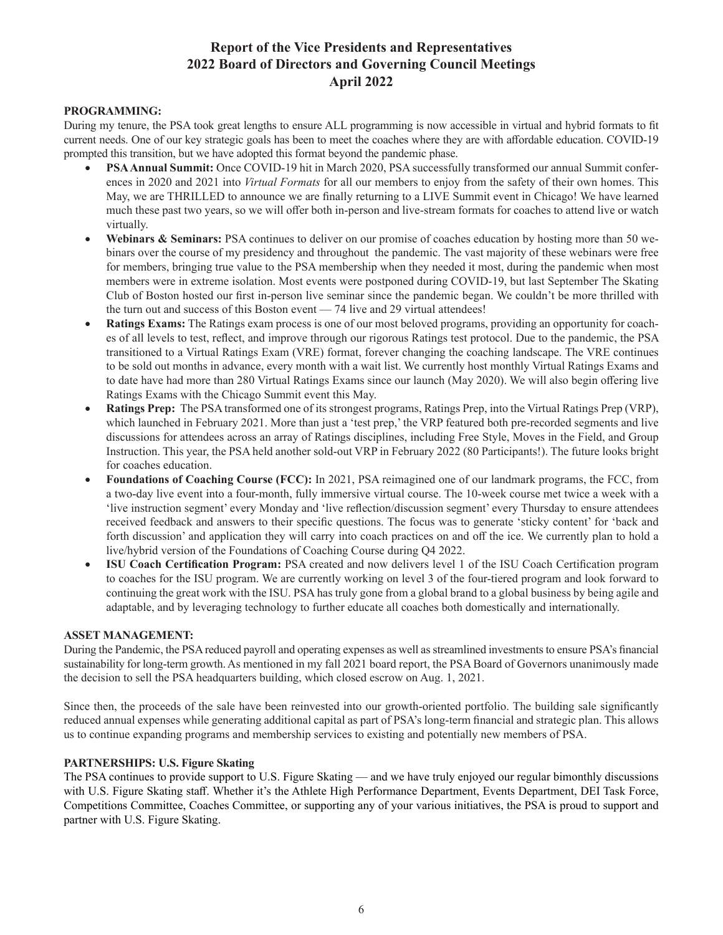#### **PROGRAMMING:**

During my tenure, the PSA took great lengths to ensure ALL programming is now accessible in virtual and hybrid formats to fit current needs. One of our key strategic goals has been to meet the coaches where they are with affordable education. COVID-19 prompted this transition, but we have adopted this format beyond the pandemic phase.

- **PSA Annual Summit:** Once COVID-19 hit in March 2020, PSA successfully transformed our annual Summit conferences in 2020 and 2021 into *Virtual Formats* for all our members to enjoy from the safety of their own homes. This May, we are THRILLED to announce we are finally returning to a LIVE Summit event in Chicago! We have learned much these past two years, so we will offer both in-person and live-stream formats for coaches to attend live or watch virtually.
- Webinars & Seminars: PSA continues to deliver on our promise of coaches education by hosting more than 50 webinars over the course of my presidency and throughout the pandemic. The vast majority of these webinars were free for members, bringing true value to the PSA membership when they needed it most, during the pandemic when most members were in extreme isolation. Most events were postponed during COVID-19, but last September The Skating Club of Boston hosted our first in-person live seminar since the pandemic began. We couldn't be more thrilled with the turn out and success of this Boston event — 74 live and 29 virtual attendees!
- **Ratings Exams:** The Ratings exam process is one of our most beloved programs, providing an opportunity for coaches of all levels to test, reflect, and improve through our rigorous Ratings test protocol. Due to the pandemic, the PSA transitioned to a Virtual Ratings Exam (VRE) format, forever changing the coaching landscape. The VRE continues to be sold out months in advance, every month with a wait list. We currently host monthly Virtual Ratings Exams and to date have had more than 280 Virtual Ratings Exams since our launch (May 2020). We will also begin offering live Ratings Exams with the Chicago Summit event this May.
- Ratings Prep: The PSA transformed one of its strongest programs, Ratings Prep, into the Virtual Ratings Prep (VRP), which launched in February 2021. More than just a 'test prep,' the VRP featured both pre-recorded segments and live discussions for attendees across an array of Ratings disciplines, including Free Style, Moves in the Field, and Group Instruction. This year, the PSA held another sold-out VRP in February 2022 (80 Participants!). The future looks bright for coaches education.
- **Foundations of Coaching Course (FCC):** In 2021, PSA reimagined one of our landmark programs, the FCC, from a two-day live event into a four-month, fully immersive virtual course. The 10-week course met twice a week with a 'live instruction segment' every Monday and 'live reflection/discussion segment' every Thursday to ensure attendees received feedback and answers to their specific questions. The focus was to generate 'sticky content' for 'back and forth discussion' and application they will carry into coach practices on and off the ice. We currently plan to hold a live/hybrid version of the Foundations of Coaching Course during Q4 2022.
- **ISU Coach Certification Program:** PSA created and now delivers level 1 of the ISU Coach Certification program to coaches for the ISU program. We are currently working on level 3 of the four-tiered program and look forward to continuing the great work with the ISU. PSA has truly gone from a global brand to a global business by being agile and adaptable, and by leveraging technology to further educate all coaches both domestically and internationally.

#### **ASSET MANAGEMENT:**

During the Pandemic, the PSA reduced payroll and operating expenses as well as streamlined investments to ensure PSA's financial sustainability for long-term growth. As mentioned in my fall 2021 board report, the PSA Board of Governors unanimously made the decision to sell the PSA headquarters building, which closed escrow on Aug. 1, 2021.

Since then, the proceeds of the sale have been reinvested into our growth-oriented portfolio. The building sale significantly reduced annual expenses while generating additional capital as part of PSA's long-term financial and strategic plan. This allows us to continue expanding programs and membership services to existing and potentially new members of PSA.

#### **PARTNERSHIPS: U.S. Figure Skating**

The PSA continues to provide support to U.S. Figure Skating — and we have truly enjoyed our regular bimonthly discussions with U.S. Figure Skating staff. Whether it's the Athlete High Performance Department, Events Department, DEI Task Force, Competitions Committee, Coaches Committee, or supporting any of your various initiatives, the PSA is proud to support and partner with U.S. Figure Skating.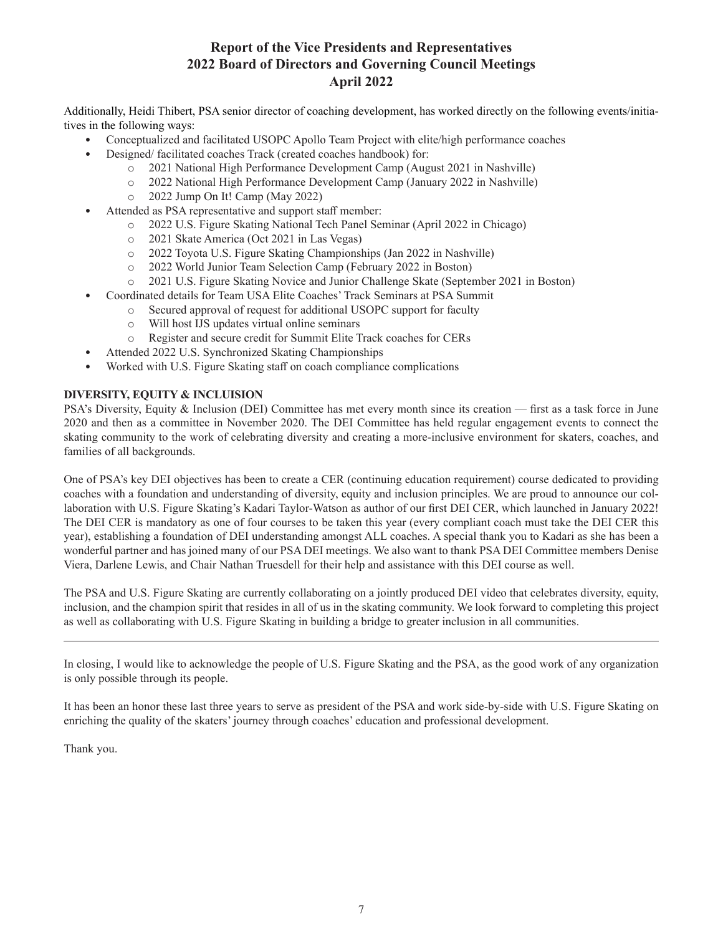Additionally, Heidi Thibert, PSA senior director of coaching development, has worked directly on the following events/initiatives in the following ways:

- Conceptualized and facilitated USOPC Apollo Team Project with elite/high performance coaches
- Designed/ facilitated coaches Track (created coaches handbook) for:
	- o 2021 National High Performance Development Camp (August 2021 in Nashville)
	- o 2022 National High Performance Development Camp (January 2022 in Nashville)
	- o 2022 Jump On It! Camp (May 2022)
	- Attended as PSA representative and support staff member:
		- o 2022 U.S. Figure Skating National Tech Panel Seminar (April 2022 in Chicago)
		- o 2021 Skate America (Oct 2021 in Las Vegas)
		- o 2022 Toyota U.S. Figure Skating Championships (Jan 2022 in Nashville)
		- o 2022 World Junior Team Selection Camp (February 2022 in Boston)
		- o 2021 U.S. Figure Skating Novice and Junior Challenge Skate (September 2021 in Boston)
- Coordinated details for Team USA Elite Coaches' Track Seminars at PSA Summit
	- o Secured approval of request for additional USOPC support for faculty
	- o Will host IJS updates virtual online seminars
	- o Register and secure credit for Summit Elite Track coaches for CERs
- Attended 2022 U.S. Synchronized Skating Championships
- Worked with U.S. Figure Skating staff on coach compliance complications

#### **DIVERSITY, EQUITY & INCLUISION**

PSA's Diversity, Equity & Inclusion (DEI) Committee has met every month since its creation — first as a task force in June 2020 and then as a committee in November 2020. The DEI Committee has held regular engagement events to connect the skating community to the work of celebrating diversity and creating a more-inclusive environment for skaters, coaches, and families of all backgrounds.

One of PSA's key DEI objectives has been to create a CER (continuing education requirement) course dedicated to providing coaches with a foundation and understanding of diversity, equity and inclusion principles. We are proud to announce our collaboration with U.S. Figure Skating's Kadari Taylor-Watson as author of our first DEI CER, which launched in January 2022! The DEI CER is mandatory as one of four courses to be taken this year (every compliant coach must take the DEI CER this year), establishing a foundation of DEI understanding amongst ALL coaches. A special thank you to Kadari as she has been a wonderful partner and has joined many of our PSA DEI meetings. We also want to thank PSA DEI Committee members Denise Viera, Darlene Lewis, and Chair Nathan Truesdell for their help and assistance with this DEI course as well.

The PSA and U.S. Figure Skating are currently collaborating on a jointly produced DEI video that celebrates diversity, equity, inclusion, and the champion spirit that resides in all of us in the skating community. We look forward to completing this project as well as collaborating with U.S. Figure Skating in building a bridge to greater inclusion in all communities.

In closing, I would like to acknowledge the people of U.S. Figure Skating and the PSA, as the good work of any organization is only possible through its people.

It has been an honor these last three years to serve as president of the PSA and work side-by-side with U.S. Figure Skating on enriching the quality of the skaters' journey through coaches' education and professional development.

Thank you.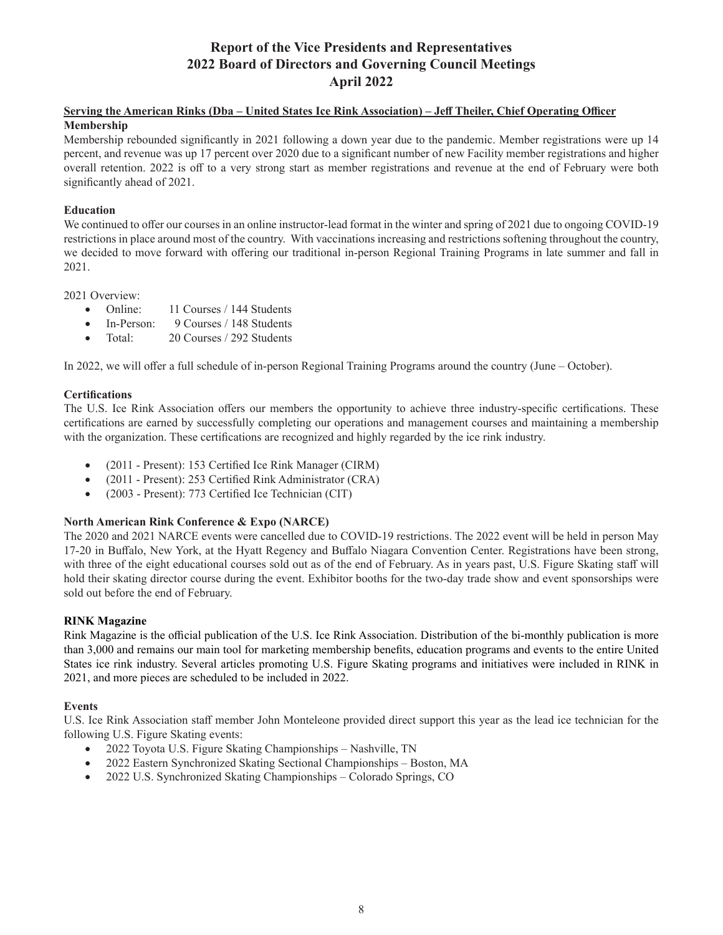### **Serving the American Rinks (Dba – United States Ice Rink Association) – Jeff Theiler, Chief Operating Officer Membership**

Membership rebounded significantly in 2021 following a down year due to the pandemic. Member registrations were up 14 percent, and revenue was up 17 percent over 2020 due to a significant number of new Facility member registrations and higher overall retention. 2022 is off to a very strong start as member registrations and revenue at the end of February were both significantly ahead of 2021.

### **Education**

We continued to offer our courses in an online instructor-lead format in the winter and spring of 2021 due to ongoing COVID-19 restrictions in place around most of the country. With vaccinations increasing and restrictions softening throughout the country, we decided to move forward with offering our traditional in-person Regional Training Programs in late summer and fall in 2021.

2021 Overview:

- Online: 11 Courses / 144 Students
- In-Person: 9 Courses / 148 Students
- Total: 20 Courses / 292 Students

In 2022, we will offer a full schedule of in-person Regional Training Programs around the country (June – October).

#### **Certifications**

The U.S. Ice Rink Association offers our members the opportunity to achieve three industry-specific certifications. These certifications are earned by successfully completing our operations and management courses and maintaining a membership with the organization. These certifications are recognized and highly regarded by the ice rink industry.

- (2011 Present): 153 Certified Ice Rink Manager (CIRM)
- (2011 Present): 253 Certified Rink Administrator (CRA)
- (2003 Present): 773 Certified Ice Technician (CIT)

### **North American Rink Conference & Expo (NARCE)**

The 2020 and 2021 NARCE events were cancelled due to COVID-19 restrictions. The 2022 event will be held in person May 17-20 in Buffalo, New York, at the Hyatt Regency and Buffalo Niagara Convention Center. Registrations have been strong, with three of the eight educational courses sold out as of the end of February. As in years past, U.S. Figure Skating staff will hold their skating director course during the event. Exhibitor booths for the two-day trade show and event sponsorships were sold out before the end of February.

#### **RINK Magazine**

Rink Magazine is the official publication of the U.S. Ice Rink Association. Distribution of the bi-monthly publication is more than 3,000 and remains our main tool for marketing membership benefits, education programs and events to the entire United States ice rink industry. Several articles promoting U.S. Figure Skating programs and initiatives were included in RINK in 2021, and more pieces are scheduled to be included in 2022.

#### **Events**

U.S. Ice Rink Association staff member John Monteleone provided direct support this year as the lead ice technician for the following U.S. Figure Skating events:

- 2022 Toyota U.S. Figure Skating Championships Nashville, TN
- 2022 Eastern Synchronized Skating Sectional Championships Boston, MA
- 2022 U.S. Synchronized Skating Championships Colorado Springs, CO